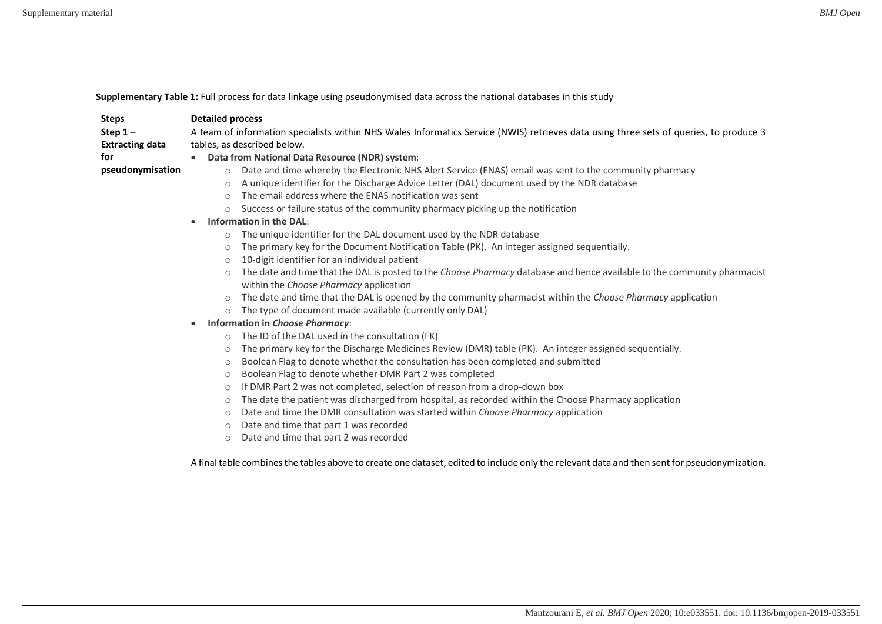| <b>Steps</b>           | <b>Detailed process</b>                                                                                                                     |
|------------------------|---------------------------------------------------------------------------------------------------------------------------------------------|
| Step $1-$              | A team of information specialists within NHS Wales Informatics Service (NWIS) retrieves data using three sets of queries, to produce 3      |
| <b>Extracting data</b> | tables, as described below.                                                                                                                 |
| for                    | Data from National Data Resource (NDR) system:                                                                                              |
| pseudonymisation       | Date and time whereby the Electronic NHS Alert Service (ENAS) email was sent to the community pharmacy<br>$\circ$                           |
|                        | A unique identifier for the Discharge Advice Letter (DAL) document used by the NDR database<br>$\circ$                                      |
|                        | The email address where the ENAS notification was sent<br>$\circ$                                                                           |
|                        | Success or failure status of the community pharmacy picking up the notification<br>$\circ$                                                  |
|                        | Information in the DAL:                                                                                                                     |
|                        | The unique identifier for the DAL document used by the NDR database<br>$\circ$                                                              |
|                        | The primary key for the Document Notification Table (PK). An integer assigned sequentially.<br>$\circ$                                      |
|                        | 10-digit identifier for an individual patient<br>$\circ$                                                                                    |
|                        | The date and time that the DAL is posted to the Choose Pharmacy database and hence available to the community pharmacist<br>$\circ$         |
|                        | within the Choose Pharmacy application                                                                                                      |
|                        | The date and time that the DAL is opened by the community pharmacist within the Choose Pharmacy application<br>$\circ$                      |
|                        | The type of document made available (currently only DAL)<br>$\circ$                                                                         |
|                        | Information in Choose Pharmacy:<br>$\bullet$                                                                                                |
|                        | The ID of the DAL used in the consultation (FK)<br>$\circ$                                                                                  |
|                        | The primary key for the Discharge Medicines Review (DMR) table (PK). An integer assigned sequentially.<br>$\circ$                           |
|                        | Boolean Flag to denote whether the consultation has been completed and submitted<br>$\circ$                                                 |
|                        | Boolean Flag to denote whether DMR Part 2 was completed<br>$\circ$                                                                          |
|                        | If DMR Part 2 was not completed, selection of reason from a drop-down box<br>$\circ$                                                        |
|                        | The date the patient was discharged from hospital, as recorded within the Choose Pharmacy application<br>$\circ$                            |
|                        | Date and time the DMR consultation was started within Choose Pharmacy application<br>$\circ$                                                |
|                        | Date and time that part 1 was recorded<br>$\circ$                                                                                           |
|                        | Date and time that part 2 was recorded<br>$\circ$                                                                                           |
|                        | A final table combines the tables above to create one dataset, edited to include only the relevant data and then sent for pseudonymization. |

**Supplementary Table 1:** Full process for data linkage using pseudonymised data across the national databases in this study